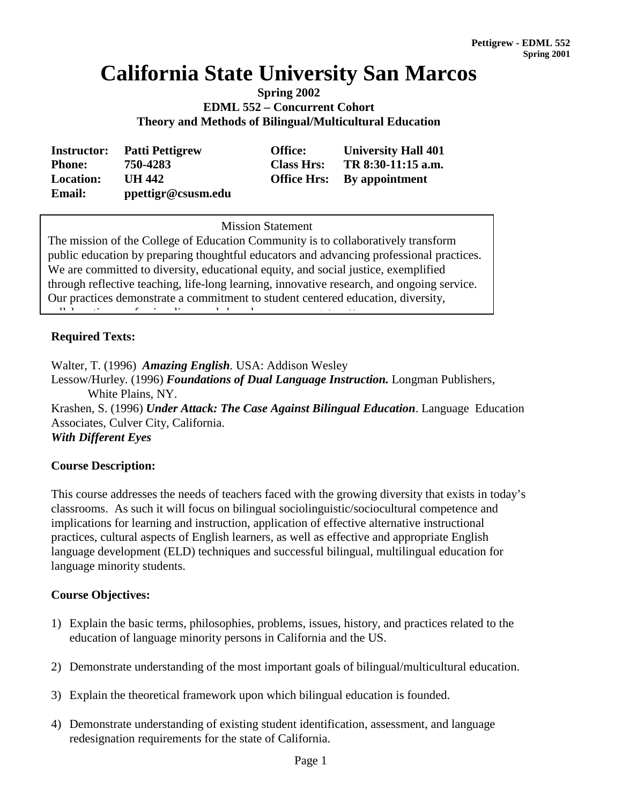# **California State University San Marcos**

**Spring 2002 EDML 552 – Concurrent Cohort Theory and Methods of Bilingual/Multicultural Education**

| <b>Instructor:</b> | <b>Patti Pettigrew</b> | <b>Office:</b>    | <b>University Hall 401</b>        |
|--------------------|------------------------|-------------------|-----------------------------------|
| <b>Phone:</b>      | 750-4283               | <b>Class Hrs:</b> | TR 8:30-11:15 a.m.                |
| <b>Location:</b>   | UH 442                 |                   | <b>Office Hrs:</b> By appointment |
| <b>Email:</b>      | ppettigr@csusm.edu     |                   |                                   |

**Mission Statement** Mission Statement

The mission of the College of Education Community is to collaboratively transform public education by preparing thoughtful educators and advancing professional practices. We are committed to diversity, educational equity, and social justice, exemplified through reflective teaching, life-long learning, innovative research, and ongoing service. Our practices demonstrate a commitment to student centered education, diversity, ll b ti f i li d h d *( d d b* 

## **Required Texts:**

Walter, T. (1996) *Amazing English.* USA: Addison Wesley Lessow/Hurley. (1996) *Foundations of Dual Language Instruction.* Longman Publishers, White Plains, NY. Krashen, S. (1996) *Under Attack: The Case Against Bilingual Education*. Language Education Associates, Culver City, California. *With Different Eyes*

#### **Course Description:**

This course addresses the needs of teachers faced with the growing diversity that exists in today's classrooms. As such it will focus on bilingual sociolinguistic/sociocultural competence and implications for learning and instruction, application of effective alternative instructional practices, cultural aspects of English learners, as well as effective and appropriate English language development (ELD) techniques and successful bilingual, multilingual education for language minority students.

## **Course Objectives:**

- 1) Explain the basic terms, philosophies, problems, issues, history, and practices related to the education of language minority persons in California and the US.
- 2) Demonstrate understanding of the most important goals of bilingual/multicultural education.
- 3) Explain the theoretical framework upon which bilingual education is founded.
- 4) Demonstrate understanding of existing student identification, assessment, and language redesignation requirements for the state of California.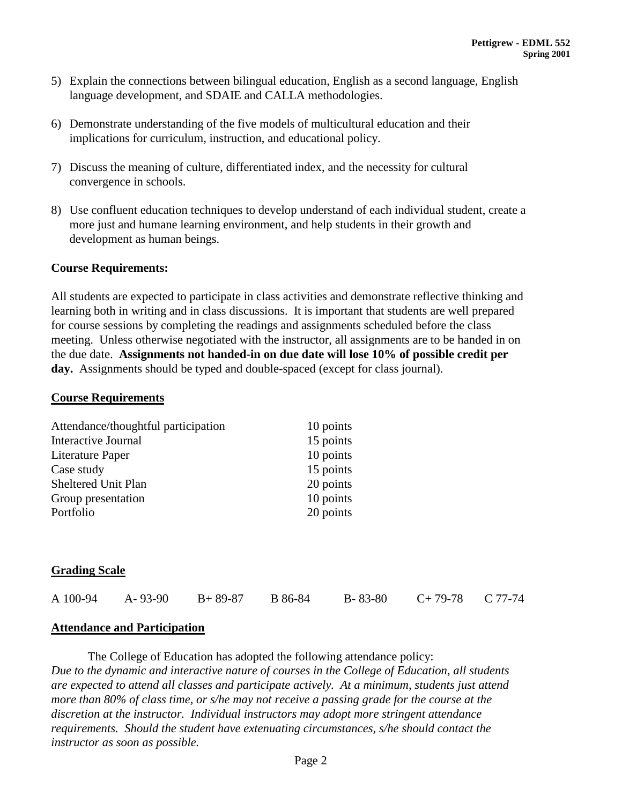- 5) Explain the connections between bilingual education, English as a second language, English language development, and SDAIE and CALLA methodologies.
- 6) Demonstrate understanding of the five models of multicultural education and their implications for curriculum, instruction, and educational policy.
- 7) Discuss the meaning of culture, differentiated index, and the necessity for cultural convergence in schools.
- 8) Use confluent education techniques to develop understand of each individual student, create a more just and humane learning environment, and help students in their growth and development as human beings.

#### **Course Requirements:**

All students are expected to participate in class activities and demonstrate reflective thinking and learning both in writing and in class discussions. It is important that students are well prepared for course sessions by completing the readings and assignments scheduled before the class meeting. Unless otherwise negotiated with the instructor, all assignments are to be handed in on the due date. **Assignments not handed-in on due date will lose 10% of possible credit per day.** Assignments should be typed and double-spaced (except for class journal).

#### **Course Requirements**

| Attendance/thoughtful participation | 10 points |
|-------------------------------------|-----------|
| Interactive Journal                 | 15 points |
| Literature Paper                    | 10 points |
| Case study                          | 15 points |
| Sheltered Unit Plan                 | 20 points |
| Group presentation                  | 10 points |
| Portfolio                           | 20 points |

#### **Grading Scale**

|  | A 100-94 | $A - 93 - 90$ | $B+89-87$ | B 86-84 | $B - 83 - 80$ | $C+79-78$ $C 77-74$ |  |
|--|----------|---------------|-----------|---------|---------------|---------------------|--|
|--|----------|---------------|-----------|---------|---------------|---------------------|--|

#### **Attendance and Participation**

The College of Education has adopted the following attendance policy: *Due to the dynamic and interactive nature of courses in the College of Education, all students are expected to attend all classes and participate actively. At a minimum, students just attend more than 80% of class time, or s/he may not receive a passing grade for the course at the discretion at the instructor. Individual instructors may adopt more stringent attendance requirements. Should the student have extenuating circumstances, s/he should contact the instructor as soon as possible.*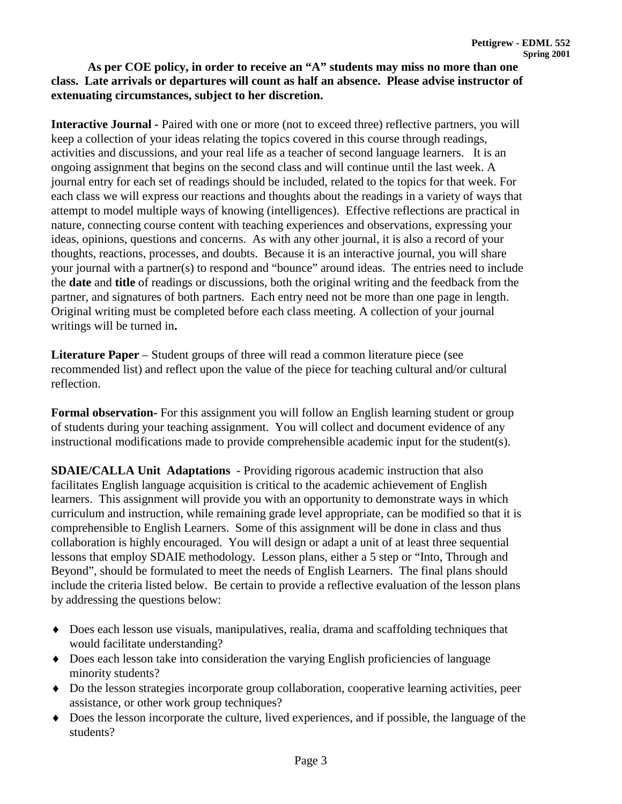## **As per COE policy, in order to receive an "A" students may miss no more than one class. Late arrivals or departures will count as half an absence. Please advise instructor of extenuating circumstances, subject to her discretion.**

**Interactive Journal** *-* Paired with one or more (not to exceed three) reflective partners, you will keep a collection of your ideas relating the topics covered in this course through readings, activities and discussions, and your real life as a teacher of second language learners. It is an ongoing assignment that begins on the second class and will continue until the last week. A journal entry for each set of readings should be included, related to the topics for that week. For each class we will express our reactions and thoughts about the readings in a variety of ways that attempt to model multiple ways of knowing (intelligences). Effective reflections are practical in nature, connecting course content with teaching experiences and observations, expressing your ideas, opinions, questions and concerns. As with any other journal, it is also a record of your thoughts, reactions, processes, and doubts. Because it is an interactive journal, you will share your journal with a partner(s) to respond and "bounce" around ideas. The entries need to include the **date** and **title** of readings or discussions, both the original writing and the feedback from the partner, and signatures of both partners. Each entry need not be more than one page in length. Original writing must be completed before each class meeting. A collection of your journal writings will be turned in**.**

**Literature Paper** – Student groups of three will read a common literature piece (see recommended list) and reflect upon the value of the piece for teaching cultural and/or cultural reflection.

**Formal observation***-* For this assignment you will follow an English learning student or group of students during your teaching assignment. You will collect and document evidence of any instructional modifications made to provide comprehensible academic input for the student(s).

**SDAIE/CALLA Unit Adaptations** - Providing rigorous academic instruction that also facilitates English language acquisition is critical to the academic achievement of English learners. This assignment will provide you with an opportunity to demonstrate ways in which curriculum and instruction, while remaining grade level appropriate, can be modified so that it is comprehensible to English Learners. Some of this assignment will be done in class and thus collaboration is highly encouraged. You will design or adapt a unit of at least three sequential lessons that employ SDAIE methodology. Lesson plans, either a 5 step or "Into, Through and Beyond", should be formulated to meet the needs of English Learners. The final plans should include the criteria listed below. Be certain to provide a reflective evaluation of the lesson plans by addressing the questions below:

- ♦ Does each lesson use visuals, manipulatives, realia, drama and scaffolding techniques that would facilitate understanding?
- ♦ Does each lesson take into consideration the varying English proficiencies of language minority students?
- ♦ Do the lesson strategies incorporate group collaboration, cooperative learning activities, peer assistance, or other work group techniques?
- ♦ Does the lesson incorporate the culture, lived experiences, and if possible, the language of the students?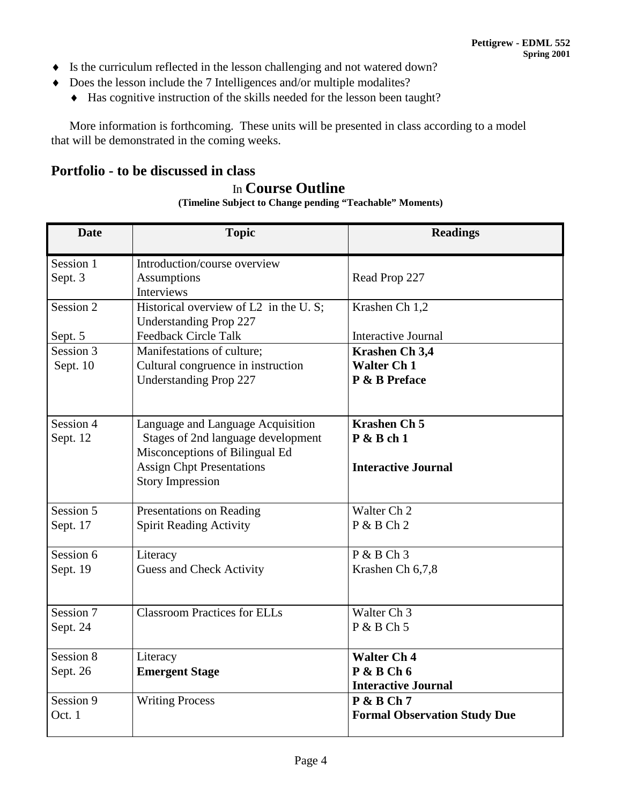- ♦ Is the curriculum reflected in the lesson challenging and not watered down?
- ♦ Does the lesson include the 7 Intelligences and/or multiple modalites?
	- ♦ Has cognitive instruction of the skills needed for the lesson been taught?

More information is forthcoming. These units will be presented in class according to a model that will be demonstrated in the coming weeks.

# **Portfolio - to be discussed in class**

# In **Course Outline**

**(Timeline Subject to Change pending "Teachable" Moments)**

| <b>Date</b>           | <b>Topic</b>                                                                                                                                                             | <b>Readings</b>                                                   |
|-----------------------|--------------------------------------------------------------------------------------------------------------------------------------------------------------------------|-------------------------------------------------------------------|
| Session 1<br>Sept. 3  | Introduction/course overview<br><b>Assumptions</b><br><b>Interviews</b>                                                                                                  | Read Prop 227                                                     |
| Session 2             | Historical overview of L2 in the U.S;<br><b>Understanding Prop 227</b>                                                                                                   | Krashen Ch 1,2                                                    |
| Sept. 5               | <b>Feedback Circle Talk</b>                                                                                                                                              | <b>Interactive Journal</b>                                        |
| Session 3<br>Sept. 10 | Manifestations of culture;<br>Cultural congruence in instruction<br><b>Understanding Prop 227</b>                                                                        | Krashen Ch 3,4<br><b>Walter Ch 1</b><br>P & B Preface             |
| Session 4<br>Sept. 12 | Language and Language Acquisition<br>Stages of 2nd language development<br>Misconceptions of Bilingual Ed<br><b>Assign Chpt Presentations</b><br><b>Story Impression</b> | <b>Krashen Ch 5</b><br>$P$ & B ch 1<br><b>Interactive Journal</b> |
| Session 5<br>Sept. 17 | Presentations on Reading<br><b>Spirit Reading Activity</b>                                                                                                               | Walter Ch 2<br>$P$ & B Ch 2                                       |
| Session 6<br>Sept. 19 | Literacy<br><b>Guess and Check Activity</b>                                                                                                                              | $P & B Ch$ 3<br>Krashen Ch 6,7,8                                  |
| Session 7<br>Sept. 24 | <b>Classroom Practices for ELLs</b>                                                                                                                                      | Walter Ch <sub>3</sub><br>$P$ & B Ch 5                            |
| Session 8             | Literacy                                                                                                                                                                 | <b>Walter Ch 4</b>                                                |
| Sept. 26              | <b>Emergent Stage</b>                                                                                                                                                    | $P$ & B Ch 6<br><b>Interactive Journal</b>                        |
| Session 9<br>Oct. 1   | <b>Writing Process</b>                                                                                                                                                   | $P$ & B Ch 7<br><b>Formal Observation Study Due</b>               |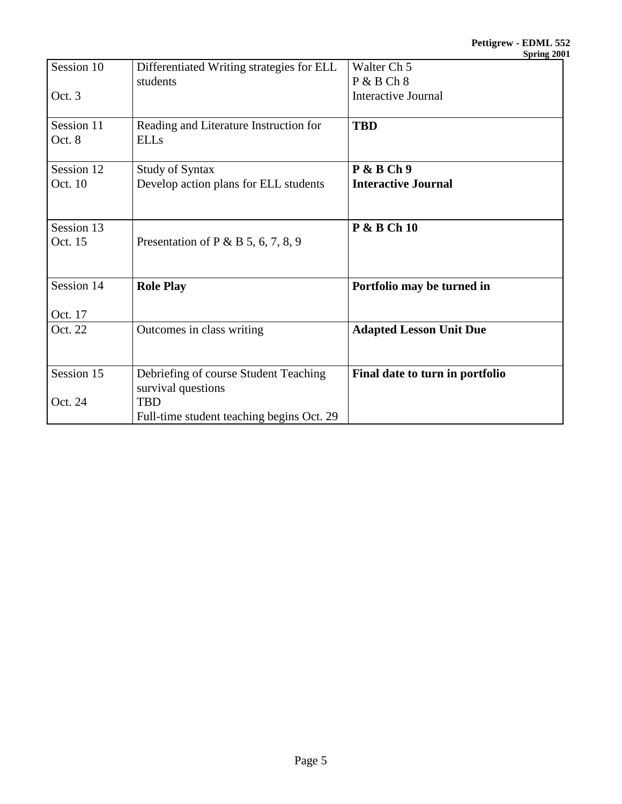|            |                                           | $v$ pring 200                   |
|------------|-------------------------------------------|---------------------------------|
| Session 10 | Differentiated Writing strategies for ELL | Walter Ch <sub>5</sub>          |
|            | students                                  | P & B Ch 8                      |
| Oct. 3     |                                           | <b>Interactive Journal</b>      |
|            |                                           |                                 |
| Session 11 | Reading and Literature Instruction for    | <b>TBD</b>                      |
| Oct. 8     | <b>ELLs</b>                               |                                 |
| Session 12 | <b>Study of Syntax</b>                    | $P$ & B Ch 9                    |
| Oct. 10    | Develop action plans for ELL students     | <b>Interactive Journal</b>      |
|            |                                           |                                 |
| Session 13 |                                           | <b>P &amp; B Ch 10</b>          |
| Oct. 15    | Presentation of P & B 5, 6, 7, 8, 9       |                                 |
|            |                                           |                                 |
| Session 14 | <b>Role Play</b>                          | Portfolio may be turned in      |
| Oct. 17    |                                           |                                 |
| Oct. 22    | Outcomes in class writing                 | <b>Adapted Lesson Unit Due</b>  |
|            |                                           |                                 |
| Session 15 | Debriefing of course Student Teaching     | Final date to turn in portfolio |
|            | survival questions                        |                                 |
| Oct. 24    | <b>TBD</b>                                |                                 |
|            | Full-time student teaching begins Oct. 29 |                                 |